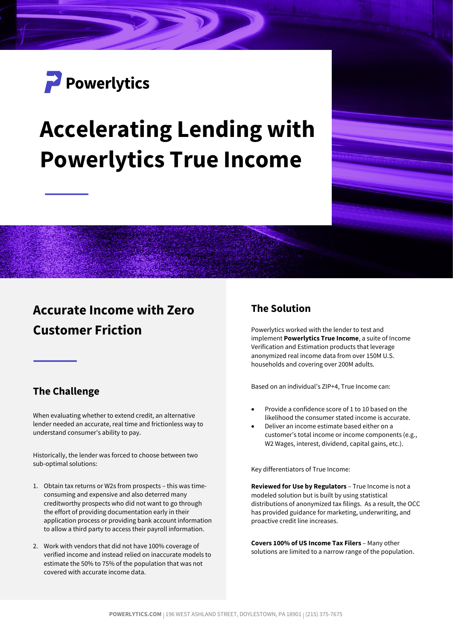

# **Accelerating Lending with Powerlytics True Income**

## **Accurate Income with Zero Customer Friction**

#### **The Challenge**

When evaluating whether to extend credit, an alternative lender needed an accurate, real time and frictionless way to understand consumer's ability to pay.

Historically, the lender was forced to choose between two sub-optimal solutions:

- 1. Obtain tax returns or W2s from prospects this was timeconsuming and expensive and also deterred many creditworthy prospects who did not want to go through the effort of providing documentation early in their application process or providing bank account information to allow a third party to access their payroll information.
- 2. Work with vendors that did not have 100% coverage of verified income and instead relied on inaccurate models to estimate the 50% to 75% of the population that was not covered with accurate income data.

#### **The Solution**

Powerlytics worked with the lender to test and implement **Powerlytics True Income**, a suite of Income Verification and Estimation products that leverage anonymized real income data from over 150M U.S. households and covering over 200M adults.

Based on an individual's ZIP+4, True Income can:

- Provide a confidence score of 1 to 10 based on the likelihood the consumer stated income is accurate.
- Deliver an income estimate based either on a customer's total income or income components (e.g., W2 Wages, interest, dividend, capital gains, etc.).

Key differentiators of True Income:

**Reviewed for Use by Regulators** – True Income is not a modeled solution but is built by using statistical distributions of anonymized tax filings. As a result, the OCC has provided guidance for marketing, underwriting, and proactive credit line increases.

**Covers 100% of US Income Tax Filers** – Many other solutions are limited to a narrow range of the population.